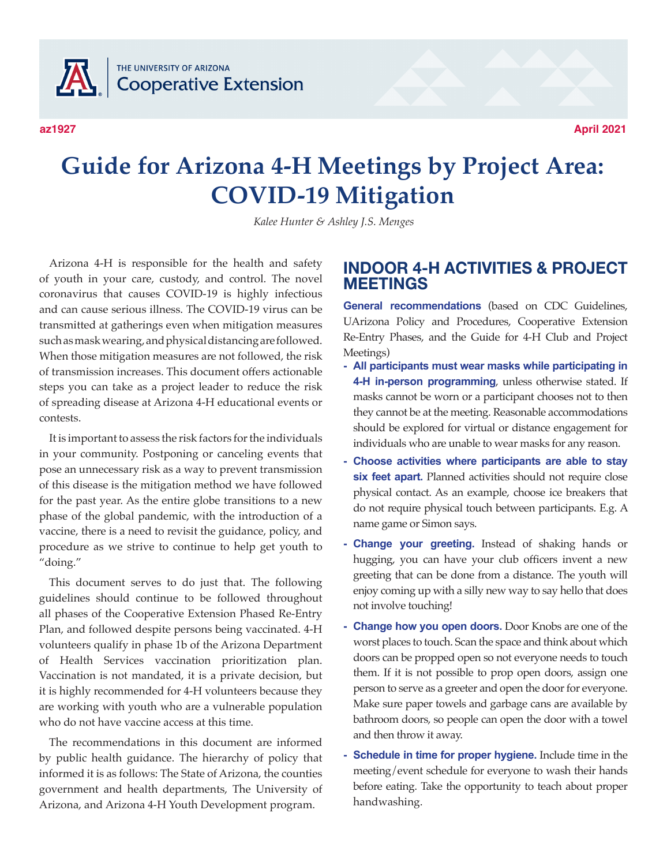THE UNIVERSITY OF ARIZONA **JA Cooperative Extension** 

**az1927**

**April 2021**

# **Guide for Arizona 4-H Meetings by Project Area: COVID-19 Mitigation**

*Kalee Hunter & Ashley J.S. Menges*

Arizona 4-H is responsible for the health and safety of youth in your care, custody, and control. The novel coronavirus that causes COVID-19 is highly infectious and can cause serious illness. The COVID-19 virus can be transmitted at gatherings even when mitigation measures such as mask wearing, and physical distancing are followed. When those mitigation measures are not followed, the risk of transmission increases. This document offers actionable steps you can take as a project leader to reduce the risk of spreading disease at Arizona 4-H educational events or contests.

It is important to assess the risk factors for the individuals in your community. Postponing or canceling events that pose an unnecessary risk as a way to prevent transmission of this disease is the mitigation method we have followed for the past year. As the entire globe transitions to a new phase of the global pandemic, with the introduction of a vaccine, there is a need to revisit the guidance, policy, and procedure as we strive to continue to help get youth to "doing."

This document serves to do just that. The following guidelines should continue to be followed throughout all phases of the Cooperative Extension Phased Re-Entry Plan, and followed despite persons being vaccinated. 4-H volunteers qualify in phase 1b of the Arizona Department of Health Services vaccination prioritization plan. Vaccination is not mandated, it is a private decision, but it is highly recommended for 4-H volunteers because they are working with youth who are a vulnerable population who do not have vaccine access at this time.

The recommendations in this document are informed by public health guidance. The hierarchy of policy that informed it is as follows: The State of Arizona, the counties government and health departments, The University of Arizona, and Arizona 4-H Youth Development program.

## **INDOOR 4-H ACTIVITIES & PROJECT MEETINGS**

**General recommendations** (based on CDC Guidelines, UArizona Policy and Procedures, Cooperative Extension Re-Entry Phases, and the Guide for 4-H Club and Project Meetings)

- **- All participants must wear masks while participating in 4-H in-person programming**, unless otherwise stated. If masks cannot be worn or a participant chooses not to then they cannot be at the meeting. Reasonable accommodations should be explored for virtual or distance engagement for individuals who are unable to wear masks for any reason.
- **- Choose activities where participants are able to stay six feet apart.** Planned activities should not require close physical contact. As an example, choose ice breakers that do not require physical touch between participants. E.g. A name game or Simon says.
- **- Change your greeting.** Instead of shaking hands or hugging, you can have your club officers invent a new greeting that can be done from a distance. The youth will enjoy coming up with a silly new way to say hello that does not involve touching!
- **- Change how you open doors.** Door Knobs are one of the worst places to touch. Scan the space and think about which doors can be propped open so not everyone needs to touch them. If it is not possible to prop open doors, assign one person to serve as a greeter and open the door for everyone. Make sure paper towels and garbage cans are available by bathroom doors, so people can open the door with a towel and then throw it away.
- **- Schedule in time for proper hygiene.** Include time in the meeting/event schedule for everyone to wash their hands before eating. Take the opportunity to teach about proper handwashing.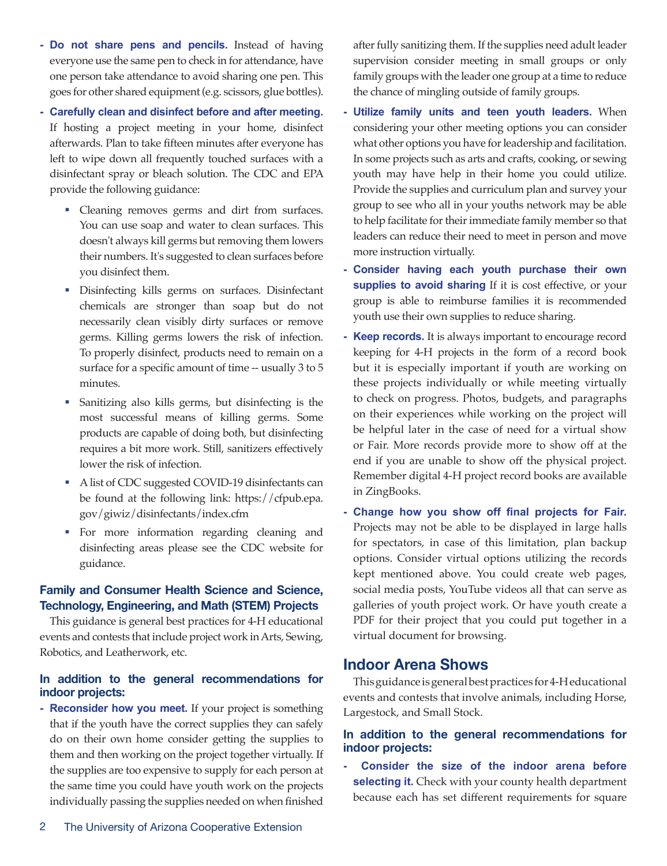- **- Do not share pens and pencils.** Instead of having everyone use the same pen to check in for attendance, have one person take attendance to avoid sharing one pen. This goes for other shared equipment (e.g. scissors, glue bottles).
- **- Carefully clean and disinfect before and after meeting.** If hosting a project meeting in your home, disinfect afterwards. Plan to take fifteen minutes after everyone has left to wipe down all frequently touched surfaces with a disinfectant spray or bleach solution. The CDC and EPA provide the following guidance:
	- Cleaning removes germs and dirt from surfaces. You can use soap and water to clean surfaces. This doesn't always kill germs but removing them lowers their numbers. It's suggested to clean surfaces before you disinfect them.
	- Disinfecting kills germs on surfaces. Disinfectant chemicals are stronger than soap but do not necessarily clean visibly dirty surfaces or remove germs. Killing germs lowers the risk of infection. To properly disinfect, products need to remain on a surface for a specific amount of time -- usually 3 to 5 minutes.
	- Sanitizing also kills germs, but disinfecting is the most successful means of killing germs. Some products are capable of doing both, but disinfecting requires a bit more work. Still, sanitizers effectively lower the risk of infection.
	- A list of CDC suggested COVID-19 disinfectants can be found at the following link: https://cfpub.epa. gov/giwiz/disinfectants/index.cfm
	- For more information regarding cleaning and disinfecting areas please see the CDC website for guidance.

#### **Family and Consumer Health Science and Science, Technology, Engineering, and Math (STEM) Projects**

This guidance is general best practices for 4-H educational events and contests that include project work in Arts, Sewing, Robotics, and Leatherwork, etc.

#### **In addition to the general recommendations for indoor projects:**

**- Reconsider how you meet.** If your project is something that if the youth have the correct supplies they can safely do on their own home consider getting the supplies to them and then working on the project together virtually. If the supplies are too expensive to supply for each person at the same time you could have youth work on the projects individually passing the supplies needed on when finished after fully sanitizing them. If the supplies need adult leader supervision consider meeting in small groups or only family groups with the leader one group at a time to reduce the chance of mingling outside of family groups.

- **- Utilize family units and teen youth leaders.** When considering your other meeting options you can consider what other options you have for leadership and facilitation. In some projects such as arts and crafts, cooking, or sewing youth may have help in their home you could utilize. Provide the supplies and curriculum plan and survey your group to see who all in your youths network may be able to help facilitate for their immediate family member so that leaders can reduce their need to meet in person and move more instruction virtually.
- **- Consider having each youth purchase their own**  supplies to avoid sharing If it is cost effective, or your group is able to reimburse families it is recommended youth use their own supplies to reduce sharing.
- **- Keep records.** It is always important to encourage record keeping for 4-H projects in the form of a record book but it is especially important if youth are working on these projects individually or while meeting virtually to check on progress. Photos, budgets, and paragraphs on their experiences while working on the project will be helpful later in the case of need for a virtual show or Fair. More records provide more to show off at the end if you are unable to show off the physical project. Remember digital 4-H project record books are available in ZingBooks.
- **- Change how you show off final projects for Fair.** Projects may not be able to be displayed in large halls for spectators, in case of this limitation, plan backup options. Consider virtual options utilizing the records kept mentioned above. You could create web pages, social media posts, YouTube videos all that can serve as galleries of youth project work. Or have youth create a PDF for their project that you could put together in a virtual document for browsing.

## **Indoor Arena Shows**

This guidance is general best practices for 4-H educational events and contests that involve animals, including Horse, Largestock, and Small Stock.

#### **In addition to the general recommendations for indoor projects:**

**- Consider the size of the indoor arena before selecting it.** Check with your county health department because each has set different requirements for square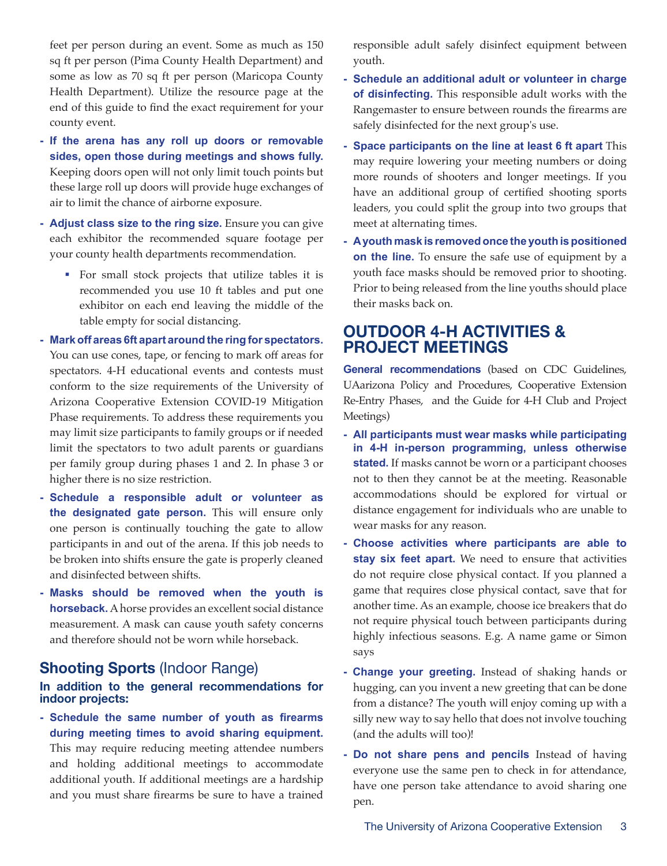feet per person during an event. Some as much as 150 sq ft per person (Pima County Health Department) and some as low as 70 sq ft per person (Maricopa County Health Department). Utilize the resource page at the end of this guide to find the exact requirement for your county event.

- **If the arena has any roll up doors or removable sides, open those during meetings and shows fully.** Keeping doors open will not only limit touch points but these large roll up doors will provide huge exchanges of air to limit the chance of airborne exposure.
- **- Adjust class size to the ring size.** Ensure you can give each exhibitor the recommended square footage per your county health departments recommendation.
	- For small stock projects that utilize tables it is recommended you use 10 ft tables and put one exhibitor on each end leaving the middle of the table empty for social distancing.
- **Mark off areas 6ft apart around the ring for spectators.** You can use cones, tape, or fencing to mark off areas for spectators. 4-H educational events and contests must conform to the size requirements of the University of Arizona Cooperative Extension COVID-19 Mitigation Phase requirements. To address these requirements you may limit size participants to family groups or if needed limit the spectators to two adult parents or guardians per family group during phases 1 and 2. In phase 3 or higher there is no size restriction.
- **Schedule a responsible adult or volunteer as the designated gate person.** This will ensure only one person is continually touching the gate to allow participants in and out of the arena. If this job needs to be broken into shifts ensure the gate is properly cleaned and disinfected between shifts.
- **- Masks should be removed when the youth is horseback.** A horse provides an excellent social distance measurement. A mask can cause youth safety concerns and therefore should not be worn while horseback.

## **Shooting Sports** (Indoor Range)

#### **In addition to the general recommendations for indoor projects:**

**- Schedule the same number of youth as firearms during meeting times to avoid sharing equipment.** This may require reducing meeting attendee numbers and holding additional meetings to accommodate additional youth. If additional meetings are a hardship and you must share firearms be sure to have a trained

responsible adult safely disinfect equipment between youth.

- **Schedule an additional adult or volunteer in charge of disinfecting.** This responsible adult works with the Rangemaster to ensure between rounds the firearms are safely disinfected for the next group's use.
- **- Space participants on the line at least 6 ft apart** This may require lowering your meeting numbers or doing more rounds of shooters and longer meetings. If you have an additional group of certified shooting sports leaders, you could split the group into two groups that meet at alternating times.
- **- A youth mask is removed once the youth is positioned on the line.** To ensure the safe use of equipment by a youth face masks should be removed prior to shooting. Prior to being released from the line youths should place their masks back on.

## **OUTDOOR 4-H ACTIVITIES & PROJECT MEETINGS**

**General recommendations** (based on CDC Guidelines, UAarizona Policy and Procedures, Cooperative Extension Re-Entry Phases, and the Guide for 4-H Club and Project Meetings)

- **- All participants must wear masks while participating in 4-H in-person programming, unless otherwise stated.** If masks cannot be worn or a participant chooses not to then they cannot be at the meeting. Reasonable accommodations should be explored for virtual or distance engagement for individuals who are unable to wear masks for any reason.
- **- Choose activities where participants are able to stay six feet apart.** We need to ensure that activities do not require close physical contact. If you planned a game that requires close physical contact, save that for another time. As an example, choose ice breakers that do not require physical touch between participants during highly infectious seasons. E.g. A name game or Simon says
- **Change your greeting.** Instead of shaking hands or hugging, can you invent a new greeting that can be done from a distance? The youth will enjoy coming up with a silly new way to say hello that does not involve touching (and the adults will too)!
- **Do not share pens and pencils** Instead of having everyone use the same pen to check in for attendance, have one person take attendance to avoid sharing one pen.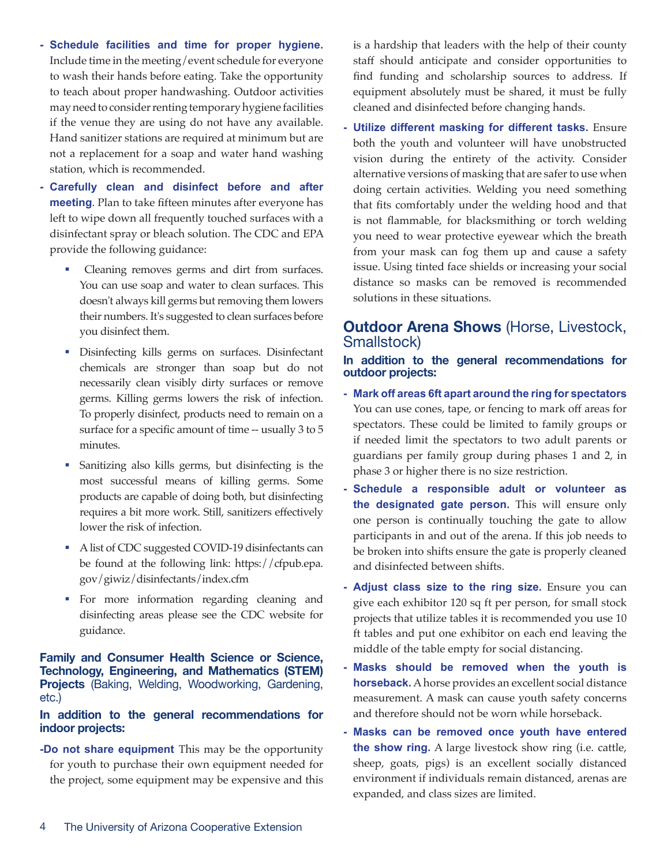- **Schedule facilities and time for proper hygiene.** Include time in the meeting/event schedule for everyone to wash their hands before eating. Take the opportunity to teach about proper handwashing. Outdoor activities may need to consider renting temporary hygiene facilities if the venue they are using do not have any available. Hand sanitizer stations are required at minimum but are not a replacement for a soap and water hand washing station, which is recommended.
- **- Carefully clean and disinfect before and after meeting**. Plan to take fifteen minutes after everyone has left to wipe down all frequently touched surfaces with a disinfectant spray or bleach solution. The CDC and EPA provide the following guidance:
	- Cleaning removes germs and dirt from surfaces. You can use soap and water to clean surfaces. This doesn't always kill germs but removing them lowers their numbers. It's suggested to clean surfaces before you disinfect them.
	- **Disinfecting kills germs on surfaces. Disinfectant** chemicals are stronger than soap but do not necessarily clean visibly dirty surfaces or remove germs. Killing germs lowers the risk of infection. To properly disinfect, products need to remain on a surface for a specific amount of time -- usually 3 to 5 minutes.
	- Sanitizing also kills germs, but disinfecting is the most successful means of killing germs. Some products are capable of doing both, but disinfecting requires a bit more work. Still, sanitizers effectively lower the risk of infection.
	- A list of CDC suggested COVID-19 disinfectants can be found at the following link: https://cfpub.epa. gov/giwiz/disinfectants/index.cfm
	- For more information regarding cleaning and disinfecting areas please see the CDC website for guidance.

**Family and Consumer Health Science or Science, Technology, Engineering, and Mathematics (STEM) Projects** (Baking, Welding, Woodworking, Gardening, etc.)

#### **In addition to the general recommendations for indoor projects:**

**-Do not share equipment** This may be the opportunity for youth to purchase their own equipment needed for the project, some equipment may be expensive and this is a hardship that leaders with the help of their county staff should anticipate and consider opportunities to find funding and scholarship sources to address. If equipment absolutely must be shared, it must be fully cleaned and disinfected before changing hands.

**- Utilize different masking for different tasks.** Ensure both the youth and volunteer will have unobstructed vision during the entirety of the activity. Consider alternative versions of masking that are safer to use when doing certain activities. Welding you need something that fits comfortably under the welding hood and that is not flammable, for blacksmithing or torch welding you need to wear protective eyewear which the breath from your mask can fog them up and cause a safety issue. Using tinted face shields or increasing your social distance so masks can be removed is recommended solutions in these situations.

## **Outdoor Arena Shows** (Horse, Livestock, Smallstock)

**In addition to the general recommendations for outdoor projects:** 

- **- Mark off areas 6ft apart around the ring for spectators** You can use cones, tape, or fencing to mark off areas for spectators. These could be limited to family groups or if needed limit the spectators to two adult parents or guardians per family group during phases 1 and 2, in phase 3 or higher there is no size restriction.
- **- Schedule a responsible adult or volunteer as the designated gate person.** This will ensure only one person is continually touching the gate to allow participants in and out of the arena. If this job needs to be broken into shifts ensure the gate is properly cleaned and disinfected between shifts.
- **- Adjust class size to the ring size.** Ensure you can give each exhibitor 120 sq ft per person, for small stock projects that utilize tables it is recommended you use 10 ft tables and put one exhibitor on each end leaving the middle of the table empty for social distancing.
- **Masks should be removed when the youth is horseback.** A horse provides an excellent social distance measurement. A mask can cause youth safety concerns and therefore should not be worn while horseback.
- **- Masks can be removed once youth have entered the show ring.** A large livestock show ring (i.e. cattle, sheep, goats, pigs) is an excellent socially distanced environment if individuals remain distanced, arenas are expanded, and class sizes are limited.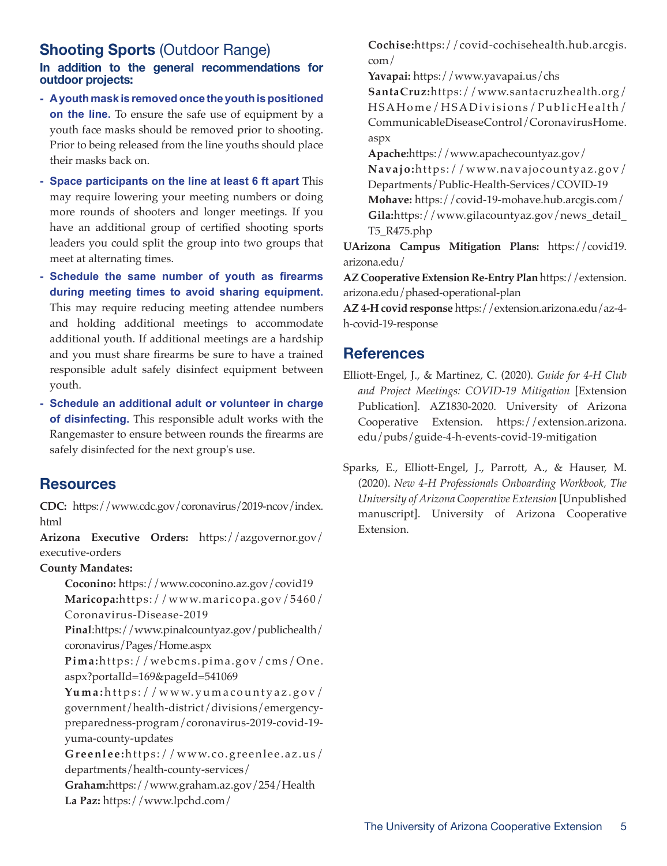# **Shooting Sports** (Outdoor Range)

#### **In addition to the general recommendations for outdoor projects:**

- **- A youth mask is removed once the youth is positioned on the line.** To ensure the safe use of equipment by a youth face masks should be removed prior to shooting. Prior to being released from the line youths should place their masks back on.
- **- Space participants on the line at least 6 ft apart** This may require lowering your meeting numbers or doing more rounds of shooters and longer meetings. If you have an additional group of certified shooting sports leaders you could split the group into two groups that meet at alternating times.
- **- Schedule the same number of youth as firearms during meeting times to avoid sharing equipment.** This may require reducing meeting attendee numbers and holding additional meetings to accommodate additional youth. If additional meetings are a hardship and you must share firearms be sure to have a trained responsible adult safely disinfect equipment between youth.
- **Schedule an additional adult or volunteer in charge of disinfecting.** This responsible adult works with the Rangemaster to ensure between rounds the firearms are safely disinfected for the next group's use.

## **Resources**

**CDC:** https://www.cdc.gov/coronavirus/2019-ncov/index. html

**Arizona Executive Orders:** https://azgovernor.gov/ executive-orders

#### **County Mandates:**

**Coconino:** https://www.coconino.az.gov/covid19 **Maricopa:**https://www.maricopa.gov/5460/ Coronavirus-Disease-2019

**Pinal**:https://www.pinalcountyaz.gov/publichealth/ coronavirus/Pages/Home.aspx

**Pima:**https://webcms.pima.gov/cms/One. aspx?portalId=169&pageId=541069

**Yuma:** https://www.yumacountyaz.gov/ government/health-district/divisions/emergencypreparedness-program/coronavirus-2019-covid-19 yuma-county-updates

**Greenlee:**https://www.co.greenlee.az.us/ departments/health-county-services/

**Graham:**https://www.graham.az.gov/254/Health **La Paz:** https://www.lpchd.com/

**Cochise:**https://covid-cochisehealth.hub.arcgis. com/

**Yavapai:** https://www.yavapai.us/chs **SantaCruz:**https://www.santacruzhealth.org/ HSAHome/HSADivisions/PublicHealth/ CommunicableDiseaseControl/CoronavirusHome. aspx

**Apache:**https://www.apachecountyaz.gov/ **Navajo:**https://www.navajocountyaz.gov/ Departments/Public-Health-Services/COVID-19 **Mohave:** https://covid-19-mohave.hub.arcgis.com/ **Gila:**https://www.gilacountyaz.gov/news\_detail\_ T5\_R475.php

**UArizona Campus Mitigation Plans:** https://covid19. arizona.edu/

**AZ Cooperative Extension Re-Entry Plan** https://extension. arizona.edu/phased-operational-plan

**AZ 4-H covid response** https://extension.arizona.edu/az-4 h-covid-19-response

## **References**

- Elliott-Engel, J., & Martinez, C. (2020). *Guide for 4-H Club and Project Meetings: COVID-19 Mitigation* [Extension Publication]. AZ1830-2020. University of Arizona Cooperative Extension. https://extension.arizona. edu/pubs/guide-4-h-events-covid-19-mitigation
- Sparks, E., Elliott-Engel, J., Parrott, A., & Hauser, M. (2020). *New 4-H Professionals Onboarding Workbook, The University of Arizona Cooperative Extension* [Unpublished manuscript]. University of Arizona Cooperative Extension.